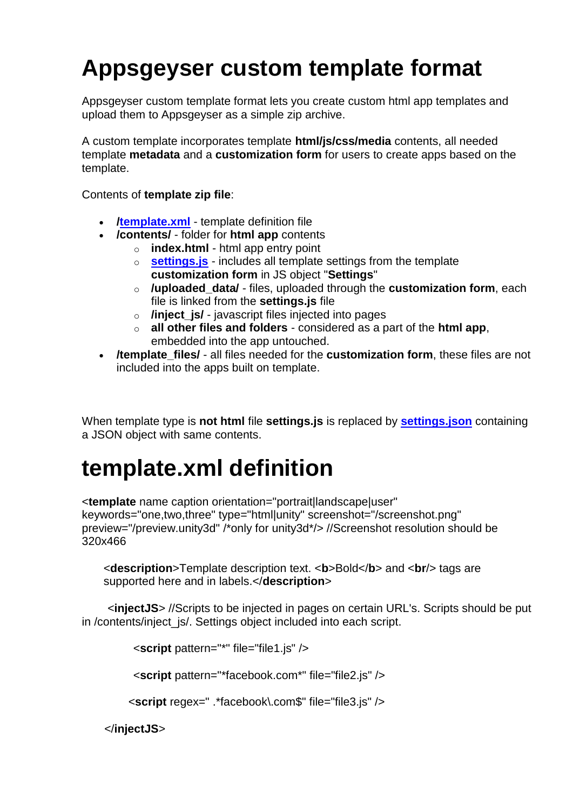# **Appsgeyser custom template format**

Appsgeyser custom template format lets you create custom html app templates and upload them to Appsgeyser as a simple zip archive.

A custom template incorporates template **html/js/css/media** contents, all needed template **metadata** and a **customization form** for users to create apps based on the template.

Contents of **template zip file**:

- **[/template.xml](/confluence/display/APPS/template.xml+definition)** template definition file
- **/contents/** folder for **html app** contents
	- o **index.html** html app entry point
		- o **[settings.js](/confluence/display/APPS/settings.js+contents)** includes all template settings from the template **customization form** in JS object "**Settings**"
		- o **/uploaded\_data/** files, uploaded through the **customization form**, each file is linked from the **settings.js** file
		- o **/inject\_js/** javascript files injected into pages
		- o **all other files and folders** considered as a part of the **html app**, embedded into the app untouched.
- **/template\_files/** all files needed for the **customization form**, these files are not included into the apps built on template.

When template type is **not html** file **settings.js** is replaced by **[settings.json](/confluence/display/APPS/settings.json+contents)** containing a JSON object with same contents.

### **template.xml definition**

<**template** name caption orientation="portrait|landscape|user" keywords="one,two,three" type="html|unity" screenshot="/screenshot.png" preview="/preview.unity3d" /\*only for unity3d\*/> //Screenshot resolution should be 320x466

<**description**>Template description text. <**b**>Bold</**b**> and <**br**/> tags are supported here and in labels.</**description**>

 <**injectJS**> //Scripts to be injected in pages on certain URL's. Scripts should be put in / contents/inject js/. Settings object included into each script.

<**script** pattern="\*" file="file1.js" />

<**script** pattern="\*facebook.com\*" file="file2.js" />

<**script** regex=" .\*facebook\.com\$" file="file3.js" />

</**injectJS**>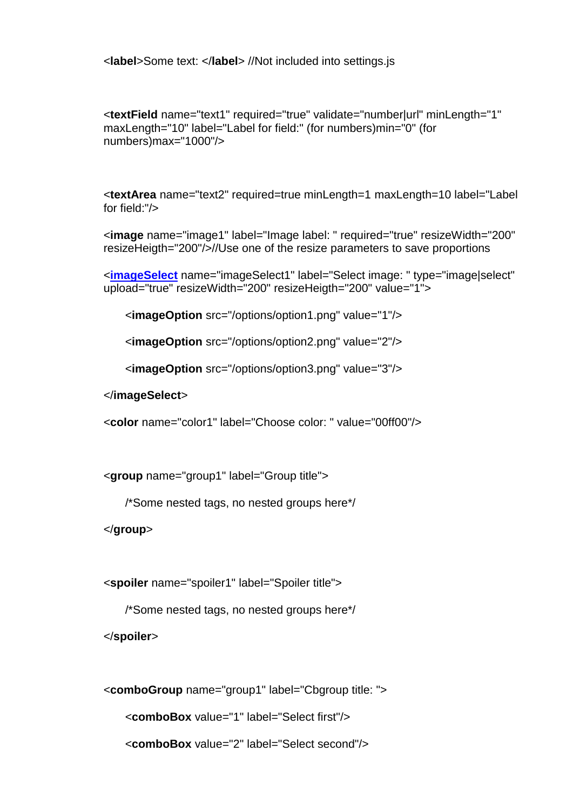<**label**>Some text: </**label**> //Not included into settings.js

<**textField** name="text1" required="true" validate="number|url" minLength="1" maxLength="10" label="Label for field:" (for numbers)min="0" (for numbers)max="1000"/>

<**textArea** name="text2" required=true minLength=1 maxLength=10 label="Label for field:"/>

<**image** name="image1" label="Image label: " required="true" resizeWidth="200" resizeHeigth="200"/>//Use one of the resize parameters to save proportions

<**[imageSelect](/confluence/display/APPS/imageSelect)** name="imageSelect1" label="Select image: " type="image|select" upload="true" resizeWidth="200" resizeHeigth="200" value="1">

<**imageOption** src="/options/option1.png" value="1"/>

<**imageOption** src="/options/option2.png" value="2"/>

<**imageOption** src="/options/option3.png" value="3"/>

</**imageSelect**>

<**color** name="color1" label="Choose color: " value="00ff00"/>

<**group** name="group1" label="Group title">

/\*Some nested tags, no nested groups here\*/

</**group**>

<**spoiler** name="spoiler1" label="Spoiler title">

/\*Some nested tags, no nested groups here\*/

</**spoiler**>

<**comboGroup** name="group1" label="Cbgroup title: "> <**comboBox** value="1" label="Select first"/> <**comboBox** value="2" label="Select second"/>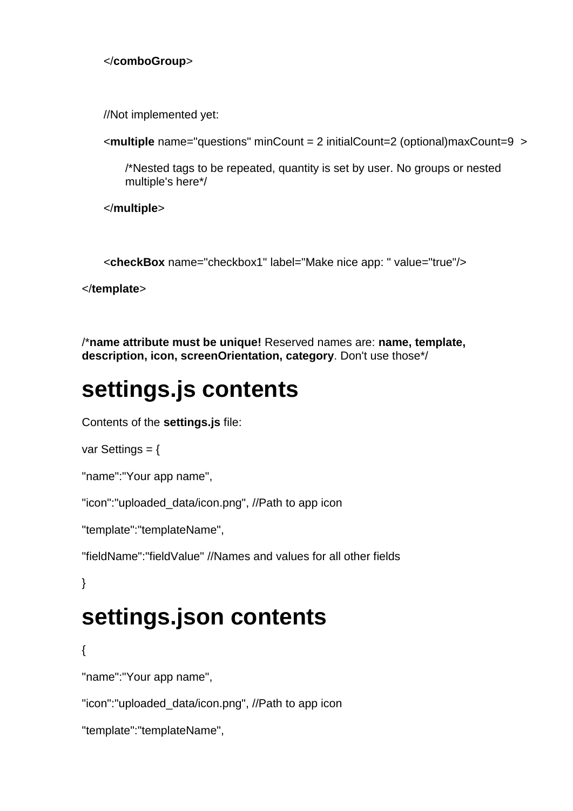#### </**comboGroup**>

//Not implemented yet:

```
<multiple name="questions" minCount = 2 initialCount=2 (optional)maxCount=9 >
```
/\*Nested tags to be repeated, quantity is set by user. No groups or nested multiple's here\*/

</**multiple**>

<**checkBox** name="checkbox1" label="Make nice app: " value="true"/>

</**template**>

/\***name attribute must be unique!** Reserved names are: **name, template, description, icon, screenOrientation, category**. Don't use those\*/

### **settings.js contents**

Contents of the **settings.js** file:

var Settings = {

```
"name":"Your app name",
```
"icon":"uploaded\_data/icon.png", //Path to app icon

```
"template":"templateName",
```
"fieldName":"fieldValue" //Names and values for all other fields

}

## **settings.json contents**

{

"name":"Your app name",

"icon":"uploaded\_data/icon.png", //Path to app icon

```
"template":"templateName",
```